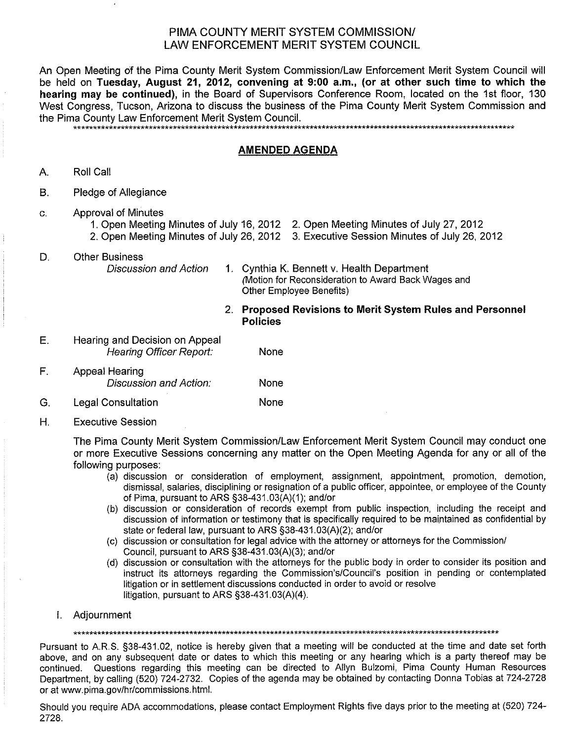## PIMA COUNTY MERIT SYSTEM COMMISSION/ LAW ENFORCEMENT MERIT SYSTEM COUNCIL

An Open Meeting of the Pima County Merit System Commission/Law Enforcement Merit System Council will be held on Tuesday, August 21, 2012, convening at 9:00 a.m., (or at other such time to which the hearing may be continued), in the Board of Supervisors Conference Room, located on the 1st floor, 130 West Congress. Tucson, Arizona to discuss the business of the Pima County Merit System Commission and the Pima County Law Enforcement Merit System Council.

## **AMENDED AGENDA**

- Roll Call A.
- $B<sub>1</sub>$ Pledge of Allegiance
- **Approval of Minutes**  $C<sub>1</sub>$ 
	- 1. Open Meeting Minutes of July 16, 2012 2. Open Meeting Minutes of July 27, 2012
	- 2. Open Meeting Minutes of July 26, 2012 3. Executive Session Minutes of July 26, 2012
- D. **Other Business Discussion and Action**
- 1. Cynthia K. Bennett v. Health Department Motion for Reconsideration to Award Back Wages and Other Employee Benefits)
	- 2. Proposed Revisions to Merit System Rules and Personnel **Policies**
- E. Hearing and Decision on Appeal Hearing Officer Report: None  $F_{\perp}$ **Appeal Hearing** 
	- Discussion and Action: None **Legal Consultation** None

## G.

 $H_{\cdot}$ **Executive Session** 

> The Pima County Merit System Commission/Law Enforcement Merit System Council may conduct one or more Executive Sessions concerning any matter on the Open Meeting Agenda for any or all of the following purposes:

- (a) discussion or consideration of employment, assignment, appointment, promotion, demotion, dismissal, salaries, disciplining or resignation of a public officer, appointee, or employee of the County of Pima, pursuant to ARS §38-431.03(A)(1); and/or
- (b) discussion or consideration of records exempt from public inspection, including the receipt and discussion of information or testimony that is specifically required to be maintained as confidential by state or federal law, pursuant to ARS §38-431.03(A)(2); and/or
- (c) discussion or consultation for legal advice with the attorney or attorneys for the Commission/ Council, pursuant to ARS §38-431.03(A)(3); and/or
- (d) discussion or consultation with the attorneys for the public body in order to consider its position and instruct its attorneys regarding the Commission's/Council's position in pending or contemplated litigation or in settlement discussions conducted in order to avoid or resolve litigation, pursuant to ARS §38-431.03(A)(4).
- I. Adiournment

Pursuant to A.R.S. §38-431.02, notice is hereby given that a meeting will be conducted at the time and date set forth above, and on any subsequent date or dates to which this meeting or any hearing which is a party thereof may be continued. Questions regarding this meeting can be directed to Allyn Bulzomi, Pima County Human Resources Department, by calling (520) 724-2732. Copies of the agenda may be obtained by contacting Donna Tobias at 724-2728 or at www.pima.gov/hr/commissions.html.

Should you require ADA accommodations, please contact Employment Rights five days prior to the meeting at (520) 724-2728.